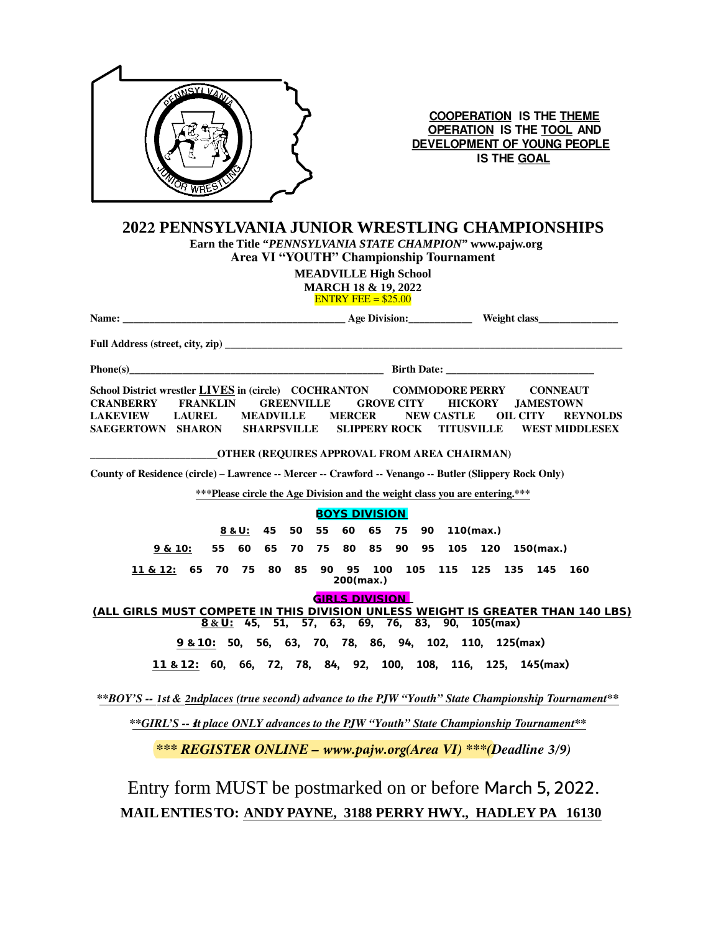

**COOPERATION IS THE THEME** OPERATION IS THE TOOL AND DEVELOPMENT OF YOUNG PEOPLE **IS THE GOAL** 

## 2022 PENNSYLVANIA JUNIOR WRESTLING CHAMPIONSHIPS

Earn the Title "PENNSYLVANIA STATE CHAMPION" www.pajw.org Area VI "YOUTH" Championship Tournament

> **MEADVILLE High School MARCH 18 & 19, 2022**

**ENTRY FEE** =  $$25.00$ 

| School District wrestler LIVES in (circle) COCHRANTON COMMODORE PERRY CONNEAUT<br><b>CRANBERRY</b><br><b>GREENVILLE</b><br><b>FRANKLIN</b><br>LAKEVIEW LAUREL<br><b>MEADVILLE</b><br>SAEGERTOWN SHARON<br><b>SHARPSVILLE</b> | <b>GROVE CITY</b><br><b>MERCER</b><br><b>SLIPPERY ROCK</b><br>_OTHER (REQUIRES APPROVAL FROM AREA CHAIRMAN) | <b>HICKORY</b><br><b>JAMESTOWN</b><br><b>NEW CASTLE</b><br><b>OIL CITY</b><br><b>REYNOLDS</b><br><b>TITUSVILLE</b><br><b>WEST MIDDLESEX</b> |
|------------------------------------------------------------------------------------------------------------------------------------------------------------------------------------------------------------------------------|-------------------------------------------------------------------------------------------------------------|---------------------------------------------------------------------------------------------------------------------------------------------|
| County of Residence (circle) - Lawrence -- Mercer -- Crawford -- Venango -- Butler (Slippery Rock Only)                                                                                                                      |                                                                                                             |                                                                                                                                             |
|                                                                                                                                                                                                                              |                                                                                                             | *** Please circle the Age Division and the weight class you are entering.***                                                                |
|                                                                                                                                                                                                                              | <b>BOYS DIVISION</b>                                                                                        |                                                                                                                                             |
| 45<br>50<br>8 & U:                                                                                                                                                                                                           | 55<br>60<br>65<br>75                                                                                        | 90<br>110(max.)                                                                                                                             |
| 9 & 10:<br>55<br>60<br>65<br>70                                                                                                                                                                                              | 75 80 85 90                                                                                                 | 95<br>105<br>120<br>150(max.)                                                                                                               |
| 65 70 75<br>80<br>85<br>11 & 12:                                                                                                                                                                                             | $200$ (max.)                                                                                                | 90  95  100  105  115  125  135<br>145<br>160                                                                                               |
| <b>GIRLS DIVISION</b>                                                                                                                                                                                                        |                                                                                                             |                                                                                                                                             |
|                                                                                                                                                                                                                              |                                                                                                             | (ALL GIRLS MUST COMPETE IN THIS DIVISION UNLESS WEIGHT IS GREATER THAN 140 LBS)<br>8 & U: 45, 51, 57, 63, 69, 76, 83, 90, 105(max)          |
|                                                                                                                                                                                                                              |                                                                                                             | 9 & 10: 50, 56, 63, 70, 78, 86, 94, 102, 110, 125(max)                                                                                      |
|                                                                                                                                                                                                                              |                                                                                                             | 11 & 12: 60, 66, 72, 78, 84, 92, 100, 108, 116, 125, 145(max)                                                                               |
| **BOY'S -- 1st & 2ndplaces (true second) advance to the PJW "Youth" State Championship Tournament**                                                                                                                          |                                                                                                             |                                                                                                                                             |
|                                                                                                                                                                                                                              |                                                                                                             | **GIRL'S -- It place ONLY advances to the PJW "Youth" State Championship Tournament**                                                       |
|                                                                                                                                                                                                                              |                                                                                                             | <b>*** REGISTER ONLINE – www.pajw.org(Area VI) ***(Deadline 3/9)</b>                                                                        |
|                                                                                                                                                                                                                              |                                                                                                             | Entry form MUST be postmarked on or before March 5, 2022.                                                                                   |

MAIL ENTIES TO: ANDY PAYNE, 3188 PERRY HWY., HADLEY PA 16130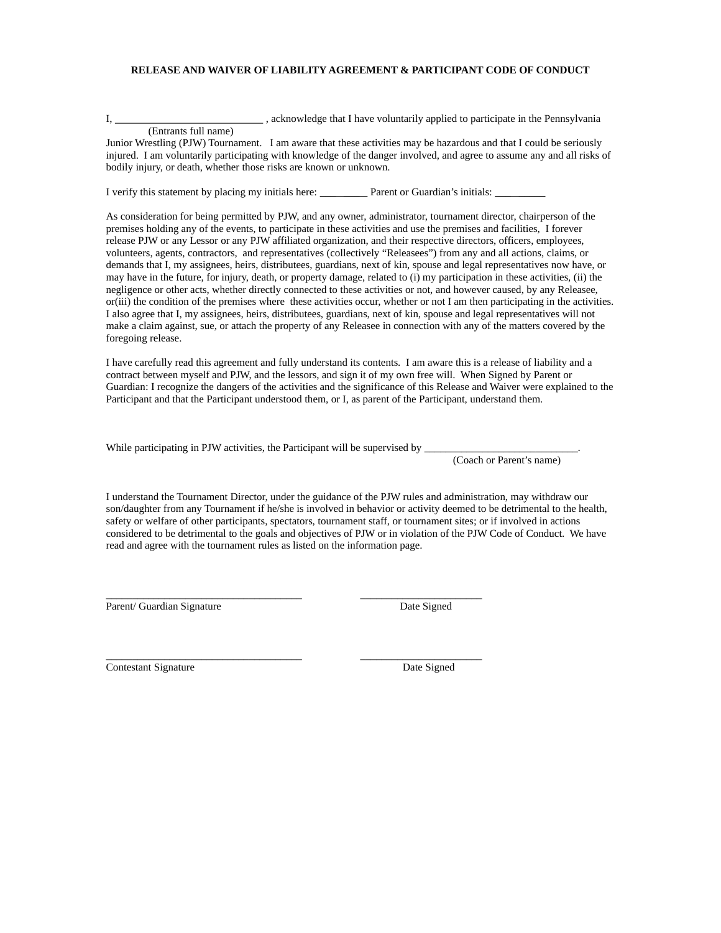#### RELEASE AND WAIVER OF LIABILITY AGREEMENT & PARTICIPANT CODE OF CONDUCT

I,

, acknowledge that I have voluntarily applied to participate in the Pennsylvania

(Entrants full name) Junior Wrestling (PJW) Tournament. I am aware that these activities may be hazardous and that I could be seriously injured. I am voluntarily participating with knowledge of the danger involved, and agree to assume any and all risks of bodily injury, or death, whether those risks are known or unknown.

I verify this statement by placing my initials here: Parent or Guardian's initials:

As consideration for being permitted by PJW, and any owner, administrator, tournament director, chairperson of the premises holding any of the events, to participate in these activities and use the premises and facilities. I forever release PJW or any Lessor or any PJW affiliated organization, and their respective directors, officers, employees, volunteers, agents, contractors, and representatives (collectively "Releasees") from any and all actions, claims, or demands that I, my assignees, heirs, distributees, guardians, next of kin, spouse and legal representatives now have, or may have in the future, for injury, death, or property damage, related to (i) my participation in these activities, (ii) the negligence or other acts, whether directly connected to these activities or not, and however caused, by any Releasee, or(iii) the condition of the premises where these activities occur, whether or not I am then participating in the activities. I also agree that I, my assignees, heirs, distributees, guardians, next of kin, spouse and legal representatives will not make a claim against, sue, or attach the property of any Releasee in connection with any of the matters covered by the foregoing release.

I have carefully read this agreement and fully understand its contents. I am aware this is a release of liability and a contract between myself and PJW, and the lessors, and sign it of my own free will. When Signed by Parent or Guardian: I recognize the dangers of the activities and the significance of this Release and Waiver were explained to the Participant and that the Participant understood them, or I, as parent of the Participant, understand them.

While participating in PJW activities, the Participant will be supervised by

(Coach or Parent's name)

I understand the Tournament Director, under the guidance of the PJW rules and administration, may withdraw our son/daughter from any Tournament if he/she is involved in behavior or activity deemed to be detrimental to the health, safety or welfare of other participants, spectators, tournament staff, or tournament sites; or if involved in actions considered to be detrimental to the goals and objectives of PJW or in violation of the PJW Code of Conduct. We have read and agree with the tournament rules as listed on the information page.

Parent/ Guardian Signature

Date Signed

Contestant Signature

Date Signed